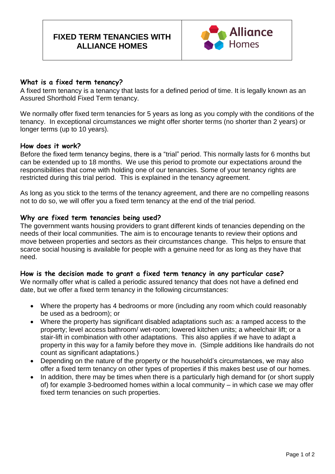

### **What is a fixed term tenancy?**

A fixed term tenancy is a tenancy that lasts for a defined period of time. It is legally known as an Assured Shorthold Fixed Term tenancy.

We normally offer fixed term tenancies for 5 years as long as you comply with the conditions of the tenancy. In exceptional circumstances we might offer shorter terms (no shorter than 2 years) or longer terms (up to 10 years).

#### **How does it work?**

Before the fixed term tenancy begins, there is a "trial" period. This normally lasts for 6 months but can be extended up to 18 months. We use this period to promote our expectations around the responsibilities that come with holding one of our tenancies. Some of your tenancy rights are restricted during this trial period. This is explained in the tenancy agreement.

As long as you stick to the terms of the tenancy agreement, and there are no compelling reasons not to do so, we will offer you a fixed term tenancy at the end of the trial period.

#### **Why are fixed term tenancies being used?**

The government wants housing providers to grant different kinds of tenancies depending on the needs of their local communities. The aim is to encourage tenants to review their options and move between properties and sectors as their circumstances change. This helps to ensure that scarce social housing is available for people with a genuine need for as long as they have that need.

#### **How is the decision made to grant a fixed term tenancy in any particular case?**

We normally offer what is called a periodic assured tenancy that does not have a defined end date, but we offer a fixed term tenancy in the following circumstances:

- Where the property has 4 bedrooms or more (including any room which could reasonably be used as a bedroom); or
- Where the property has significant disabled adaptations such as: a ramped access to the property; level access bathroom/ wet-room; lowered kitchen units; a wheelchair lift; or a stair-lift in combination with other adaptations. This also applies if we have to adapt a property in this way for a family before they move in. (Simple additions like handrails do not count as significant adaptations.)
- Depending on the nature of the property or the household's circumstances, we may also offer a fixed term tenancy on other types of properties if this makes best use of our homes.
- In addition, there may be times when there is a particularly high demand for (or short supply of) for example 3-bedroomed homes within a local community – in which case we may offer fixed term tenancies on such properties.